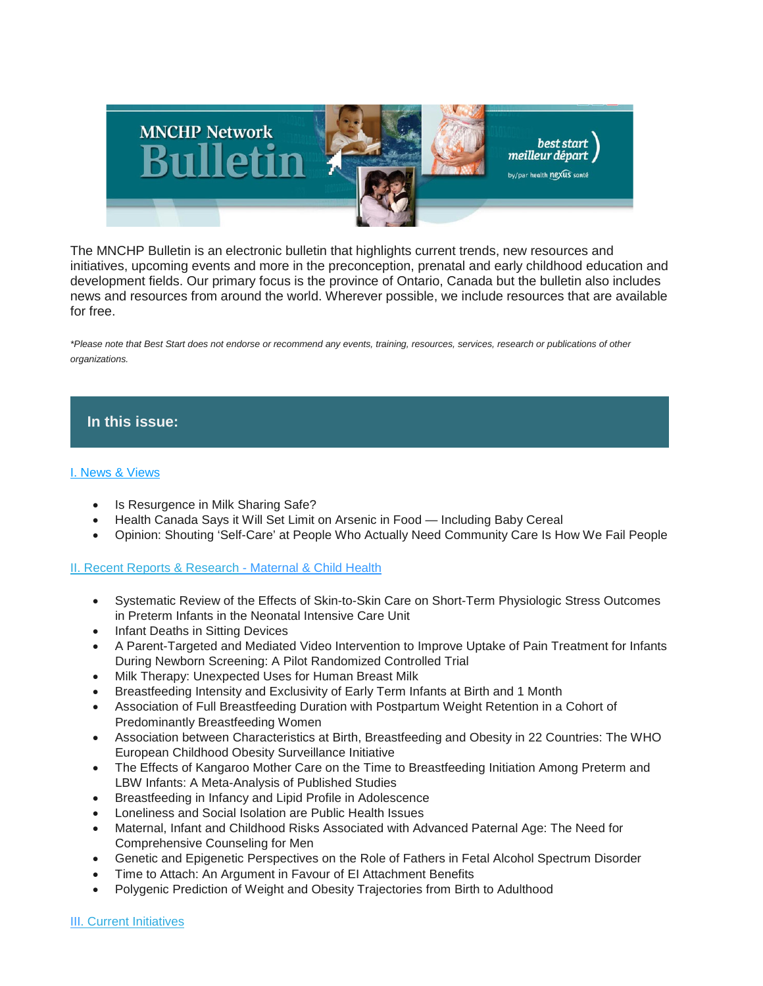

The MNCHP Bulletin is an electronic bulletin that highlights current trends, new resources and initiatives, upcoming events and more in the preconception, prenatal and early childhood education and development fields. Our primary focus is the province of Ontario, Canada but the bulletin also includes news and resources from around the world. Wherever possible, we include resources that are available for free.

*\*Please note that Best Start does not endorse or recommend any events, training, resources, services, research or publications of other organizations.*

# **In this issue:**

# [I. News & Views](https://us14.admin.mailchimp.com/templates/preview-template?id=177933#I.%20News%20&%20Views)

- Is Resurgence in Milk Sharing Safe?
- Health Canada Says it Will Set Limit on Arsenic in Food Including Baby Cereal
- Opinion: Shouting 'Self-Care' at People Who Actually Need Community Care Is How We Fail People

# [II. Recent Reports & Research](https://us14.admin.mailchimp.com/templates/preview-template?id=177933#II.%20Recent%20Reports%20&%20Research%20-%20Maternal%20&%20Child%20Health) - Maternal & Child Health

- Systematic Review of the Effects of Skin-to-Skin Care on Short-Term Physiologic Stress Outcomes in Preterm Infants in the Neonatal Intensive Care Unit
- Infant Deaths in Sitting Devices
- A Parent-Targeted and Mediated Video Intervention to Improve Uptake of Pain Treatment for Infants During Newborn Screening: A Pilot Randomized Controlled Trial
- Milk Therapy: Unexpected Uses for Human Breast Milk
- Breastfeeding Intensity and Exclusivity of Early Term Infants at Birth and 1 Month
- Association of Full Breastfeeding Duration with Postpartum Weight Retention in a Cohort of Predominantly Breastfeeding Women
- Association between Characteristics at Birth, Breastfeeding and Obesity in 22 Countries: The WHO European Childhood Obesity Surveillance Initiative
- The Effects of Kangaroo Mother Care on the Time to Breastfeeding Initiation Among Preterm and LBW Infants: A Meta-Analysis of Published Studies
- Breastfeeding in Infancy and Lipid Profile in Adolescence
- Loneliness and Social Isolation are Public Health Issues
- Maternal, Infant and Childhood Risks Associated with Advanced Paternal Age: The Need for Comprehensive Counseling for Men
- Genetic and Epigenetic Perspectives on the Role of Fathers in Fetal Alcohol Spectrum Disorder
- Time to Attach: An Argument in Favour of EI Attachment Benefits
- Polygenic Prediction of Weight and Obesity Trajectories from Birth to Adulthood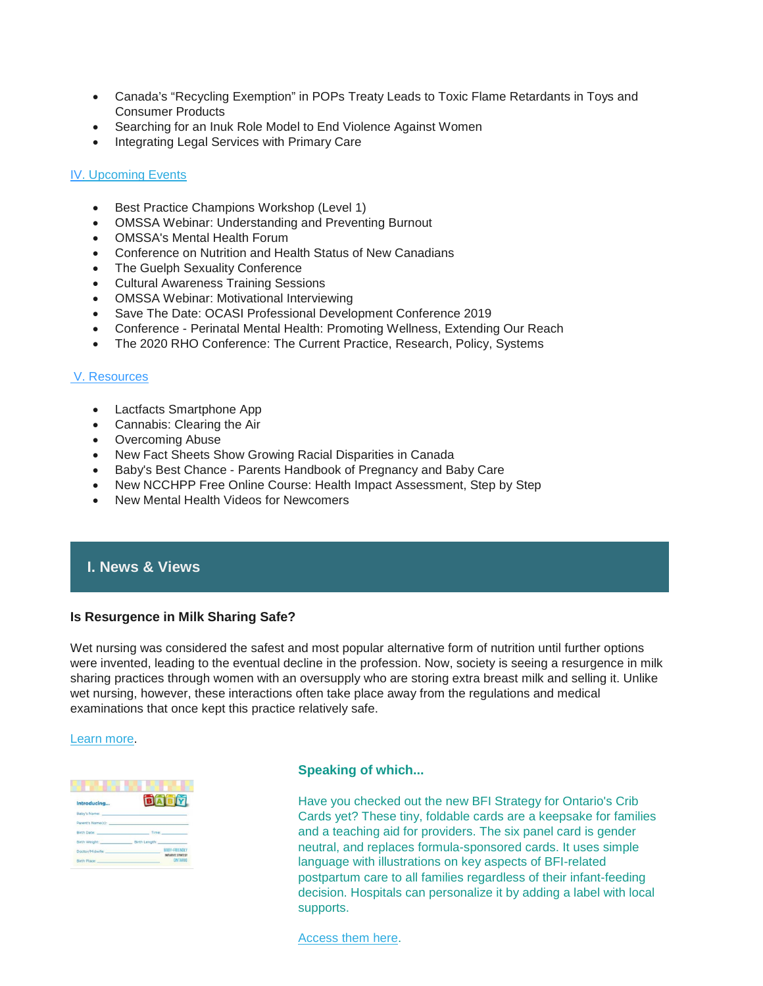- Canada's "Recycling Exemption" in POPs Treaty Leads to Toxic Flame Retardants in Toys and Consumer Products
- Searching for an Inuk Role Model to End Violence Against Women
- Integrating Legal Services with Primary Care

#### I[V. Upcoming Events](https://us14.admin.mailchimp.com/templates/preview-template?id=177933#VI.%20Upcoming%20Events)

- Best Practice Champions Workshop (Level 1)
- OMSSA Webinar: Understanding and Preventing Burnout
- OMSSA's Mental Health Forum
- Conference on Nutrition and Health Status of New Canadians
- The Guelph Sexuality Conference
- Cultural Awareness Training Sessions
- OMSSA Webinar: Motivational Interviewing
- Save The Date: OCASI Professional Development Conference 2019
- Conference Perinatal Mental Health: Promoting Wellness, Extending Our Reach
- The 2020 RHO Conference: The Current Practice, Research, Policy, Systems

#### [V. Resources](https://us14.admin.mailchimp.com/templates/preview-template?id=177933#VII.%20Resources)

- Lactfacts Smartphone App
- Cannabis: Clearing the Air
- Overcoming Abuse
- New Fact Sheets Show Growing Racial Disparities in Canada
- Baby's Best Chance Parents Handbook of Pregnancy and Baby Care
- New NCCHPP Free Online Course: Health Impact Assessment, Step by Step
- New Mental Health Videos for Newcomers

# **I. News & Views**

# **Is Resurgence in Milk Sharing Safe?**

Wet nursing was considered the safest and most popular alternative form of nutrition until further options were invented, leading to the eventual decline in the profession. Now, society is seeing a resurgence in milk sharing practices through women with an oversupply who are storing extra breast milk and selling it. Unlike wet nursing, however, these interactions often take place away from the regulations and medical examinations that once kept this practice relatively safe.

#### [Learn more.](https://www.technologynetworks.com/tn/news/is-resurgence-in-milk-sharing-safe-318754)

| Introducing                 |               |                               |
|-----------------------------|---------------|-------------------------------|
| Baby's Name:                |               |                               |
| Parent's Name(s):           |               |                               |
| Birth Date: New York 1999   | Time:         |                               |
| Birth Weight: New York 1999 | Birth Length: |                               |
| Doctor/Midwife:             |               | <b>BABY-FRIENDLY</b>          |
| Birth Place:                |               | INTIATIVE STRATEGY<br>ONTARIO |

#### **Speaking of which...**

Have you checked out the new BFI Strategy for Ontario's Crib Cards yet? These tiny, foldable cards are a keepsake for families and a teaching aid for providers. The six panel card is gender neutral, and replaces formula-sponsored cards. It uses simple language with illustrations on key aspects of BFI-related postpartum care to all families regardless of their infant-feeding decision. Hospitals can personalize it by adding a label with local supports.

#### [Access them here.](https://resources.beststart.org/product-category/resources/breastfeeding/)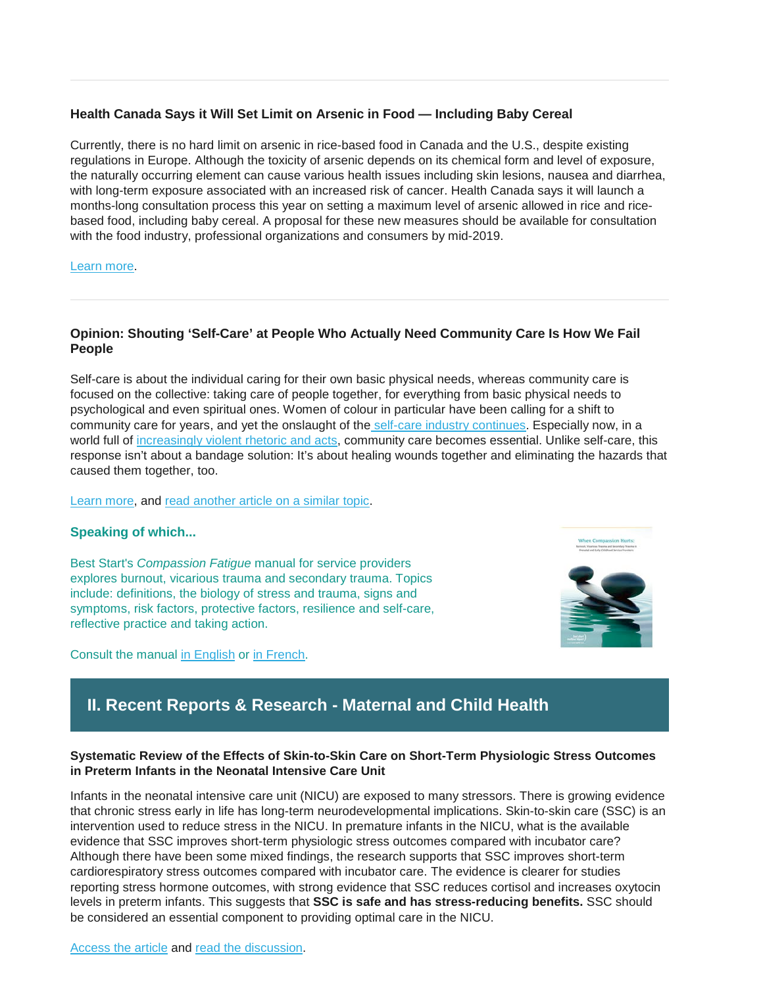# **Health Canada Says it Will Set Limit on Arsenic in Food — Including Baby Cereal**

Currently, there is no hard limit on arsenic in rice-based food in Canada and the U.S., despite existing regulations in Europe. Although the toxicity of arsenic depends on its chemical form and level of exposure, the naturally occurring element can cause various health issues including skin lesions, nausea and diarrhea, with long-term exposure associated with an increased risk of cancer. Health Canada says it will launch a months-long consultation process this year on setting a maximum level of arsenic allowed in rice and ricebased food, including baby cereal. A proposal for these new measures should be available for consultation with the food industry, professional organizations and consumers by mid-2019.

#### [Learn more.](https://globalnews.ca/news/5133074/health-canada-arsenic-baby-food/)

# **Opinion: Shouting 'Self-Care' at People Who Actually Need Community Care Is How We Fail People**

Self-care is about the individual caring for their own basic physical needs, whereas community care is focused on the collective: taking care of people together, for everything from basic physical needs to psychological and even spiritual ones. Women of colour in particular have been calling for a shift to community care for years, and yet the onslaught of the self-care [industry continues.](https://www.fastcompany.com/90247896/these-10-market-trends-turned-wellness-into-a-4-2-trillion-global-industry) Especially now, in a world full of [increasingly violent rhetoric and acts,](https://www.flare.com/news/racism-in-canada/) community care becomes essential. Unlike self-care, this response isn't about a bandage solution: It's about healing wounds together and eliminating the hazards that caused them together, too.

#### [Learn more,](https://www.flare.com/identity/self-care-new-zealand-muslim-attack/) and [read another article on a similar topic.](http://www.fnha.ca/about/news-and-events/news/self-care-is-about-dignity-caring-for-all-our-relations?utm_medium=email&utm_campaign=FNHA%20eBlast%20-%20May%2014%202019&utm_content=FNHA%20eBlast%20-%20May%2014%202019+CID_a2357bc6ff78267a35fe908ac0024639&utm_source=Email%20marketing%20software&utm_term=Read%20the%20full%20blog%20post%20here)

#### **Speaking of which...**

Best Start's *Compassion Fatigue* manual for service providers explores burnout, vicarious trauma and secondary trauma. Topics include: definitions, the biology of stress and trauma, signs and symptoms, risk factors, protective factors, resilience and self-care, reflective practice and taking action.

Consult the manual [in English](https://resources.beststart.org/product/j13e-when-compassion-hurts-manual/) or [in French.](https://resources.beststart.org/product/j13f-lorsque-compassion-rime-avec-souffrance-manuel-en/)



# **II. Recent Reports & Research - Maternal and Child Health**

# **Systematic Review of the Effects of Skin-to-Skin Care on Short-Term Physiologic Stress Outcomes in Preterm Infants in the Neonatal Intensive Care Unit**

Infants in the neonatal intensive care unit (NICU) are exposed to many stressors. There is growing evidence that chronic stress early in life has long-term neurodevelopmental implications. Skin-to-skin care (SSC) is an intervention used to reduce stress in the NICU. In premature infants in the NICU, what is the available evidence that SSC improves short-term physiologic stress outcomes compared with incubator care? Although there have been some mixed findings, the research supports that SSC improves short-term cardiorespiratory stress outcomes compared with incubator care. The evidence is clearer for studies reporting stress hormone outcomes, with strong evidence that SSC reduces cortisol and increases oxytocin levels in preterm infants. This suggests that **SSC is safe and has stress-reducing benefits.** SSC should be considered an essential component to providing optimal care in the NICU.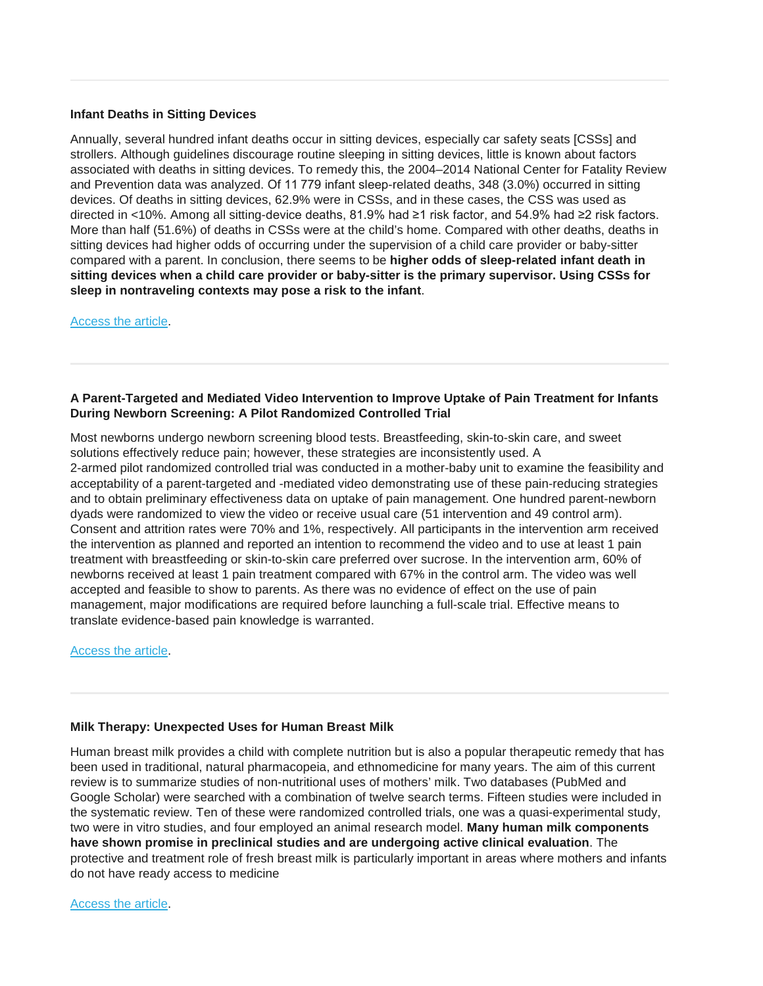#### **Infant Deaths in Sitting Devices**

Annually, several hundred infant deaths occur in sitting devices, especially car safety seats [CSSs] and strollers. Although guidelines discourage routine sleeping in sitting devices, little is known about factors associated with deaths in sitting devices. To remedy this, the 2004–2014 National Center for Fatality Review and Prevention data was analyzed. Of 11 779 infant sleep-related deaths, 348 (3.0%) occurred in sitting devices. Of deaths in sitting devices, 62.9% were in CSSs, and in these cases, the CSS was used as directed in <10%. Among all sitting-device deaths, 81.9% had ≥1 risk factor, and 54.9% had ≥2 risk factors. More than half (51.6%) of deaths in CSSs were at the child's home. Compared with other deaths, deaths in sitting devices had higher odds of occurring under the supervision of a child care provider or baby-sitter compared with a parent. In conclusion, there seems to be **higher odds of sleep-related infant death in sitting devices when a child care provider or baby-sitter is the primary supervisor. Using CSSs for sleep in nontraveling contexts may pose a risk to the infant**.

[Access the article.](https://pediatrics.aappublications.org/content/early/2019/05/17/peds.2018-2576?sso=1&sso_redirect_count=1&nfstatus=401&nftoken=00000000-0000-0000-0000-000000000000&nfstatusdescription=ERROR%3a+No+local+token)

#### **A Parent-Targeted and Mediated Video Intervention to Improve Uptake of Pain Treatment for Infants During Newborn Screening: A Pilot Randomized Controlled Trial**

Most newborns undergo newborn screening blood tests. Breastfeeding, skin-to-skin care, and sweet solutions effectively reduce pain; however, these strategies are inconsistently used. A 2-armed pilot randomized controlled trial was conducted in a mother-baby unit to examine the feasibility and acceptability of a parent-targeted and -mediated video demonstrating use of these pain-reducing strategies and to obtain preliminary effectiveness data on uptake of pain management. One hundred parent-newborn dyads were randomized to view the video or receive usual care (51 intervention and 49 control arm). Consent and attrition rates were 70% and 1%, respectively. All participants in the intervention arm received the intervention as planned and reported an intention to recommend the video and to use at least 1 pain treatment with breastfeeding or skin-to-skin care preferred over sucrose. In the intervention arm, 60% of newborns received at least 1 pain treatment compared with 67% in the control arm. The video was well accepted and feasible to show to parents. As there was no evidence of effect on the use of pain management, major modifications are required before launching a full-scale trial. Effective means to translate evidence-based pain knowledge is warranted.

[Access the article.](https://www.ncbi.nlm.nih.gov/pubmed/30676466)

# **Milk Therapy: Unexpected Uses for Human Breast Milk**

Human breast milk provides a child with complete nutrition but is also a popular therapeutic remedy that has been used in traditional, natural pharmacopeia, and ethnomedicine for many years. The aim of this current review is to summarize studies of non-nutritional uses of mothers' milk. Two databases (PubMed and Google Scholar) were searched with a combination of twelve search terms. Fifteen studies were included in the systematic review. Ten of these were randomized controlled trials, one was a quasi-experimental study, two were in vitro studies, and four employed an animal research model. **Many human milk components have shown promise in preclinical studies and are undergoing active clinical evaluation**. The protective and treatment role of fresh breast milk is particularly important in areas where mothers and infants do not have ready access to medicine

[Access the article.](https://www.mdpi.com/2072-6643/11/5/944)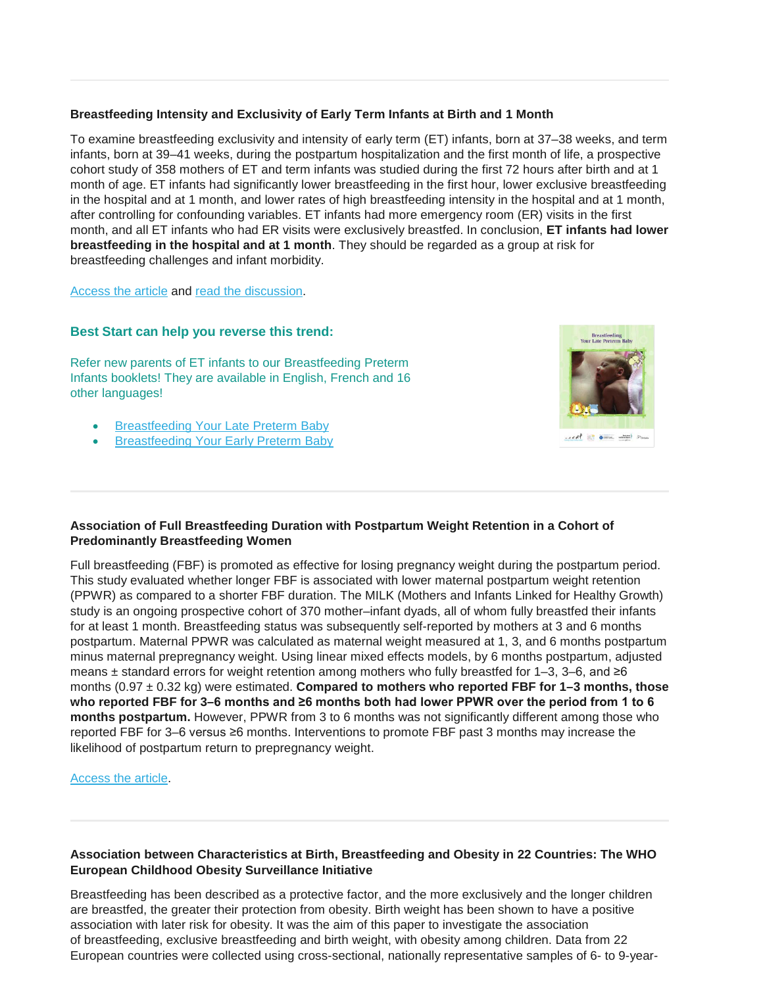### **Breastfeeding Intensity and Exclusivity of Early Term Infants at Birth and 1 Month**

To examine breastfeeding exclusivity and intensity of early term (ET) infants, born at 37–38 weeks, and term infants, born at 39–41 weeks, during the postpartum hospitalization and the first month of life, a prospective cohort study of 358 mothers of ET and term infants was studied during the first 72 hours after birth and at 1 month of age. ET infants had significantly lower breastfeeding in the first hour, lower exclusive breastfeeding in the hospital and at 1 month, and lower rates of high breastfeeding intensity in the hospital and at 1 month, after controlling for confounding variables. ET infants had more emergency room (ER) visits in the first month, and all ET infants who had ER visits were exclusively breastfed. In conclusion, **ET infants had lower breastfeeding in the hospital and at 1 month**. They should be regarded as a group at risk for breastfeeding challenges and infant morbidity.

[Access the article](https://www.liebertpub.com/doi/10.1089/bfm.2018.0260) and [read the discussion.](https://www.eurekalert.org/pub_releases/2019-05/mali-eti051419.php)

# **Best Start can help you reverse this trend:**

Refer new parents of ET infants to our Breastfeeding Preterm Infants booklets! They are available in English, French and 16 other languages!

- [Breastfeeding Your Late Preterm Baby](https://resources.beststart.org/product/b26e-breastfeeding-your-late-preterm-baby-booklet/)
- [Breastfeeding Your Early Preterm Baby](https://resources.beststart.org/product/b23e-breastfeeding-your-early-preterm-baby-booklet/)



#### **Association of Full Breastfeeding Duration with Postpartum Weight Retention in a Cohort of Predominantly Breastfeeding Women**

Full breastfeeding (FBF) is promoted as effective for losing pregnancy weight during the postpartum period. This study evaluated whether longer FBF is associated with lower maternal postpartum weight retention (PPWR) as compared to a shorter FBF duration. The MILK (Mothers and Infants Linked for Healthy Growth) study is an ongoing prospective cohort of 370 mother–infant dyads, all of whom fully breastfed their infants for at least 1 month. Breastfeeding status was subsequently self-reported by mothers at 3 and 6 months postpartum. Maternal PPWR was calculated as maternal weight measured at 1, 3, and 6 months postpartum minus maternal prepregnancy weight. Using linear mixed effects models, by 6 months postpartum, adjusted means  $±$  standard errors for weight retention among mothers who fully breastfed for 1–3, 3–6, and  $≥6$ months (0.97 ± 0.32 kg) were estimated. **Compared to mothers who reported FBF for 1–3 months, those who reported FBF for 3–6 months and ≥6 months both had lower PPWR over the period from 1 to 6 months postpartum.** However, PPWR from 3 to 6 months was not significantly different among those who reported FBF for 3–6 versus ≥6 months. Interventions to promote FBF past 3 months may increase the likelihood of postpartum return to prepregnancy weight.

[Access the article.](https://www.mdpi.com/2072-6643/11/4/938)

#### **Association between Characteristics at Birth, Breastfeeding and Obesity in 22 Countries: The WHO European Childhood Obesity Surveillance Initiative**

Breastfeeding has been described as a protective factor, and the more exclusively and the longer children are breastfed, the greater their protection from obesity. Birth weight has been shown to have a positive association with later risk for obesity. It was the aim of this paper to investigate the association of breastfeeding, exclusive breastfeeding and birth weight, with obesity among children. Data from 22 European countries were collected using cross-sectional, nationally representative samples of 6- to 9-year-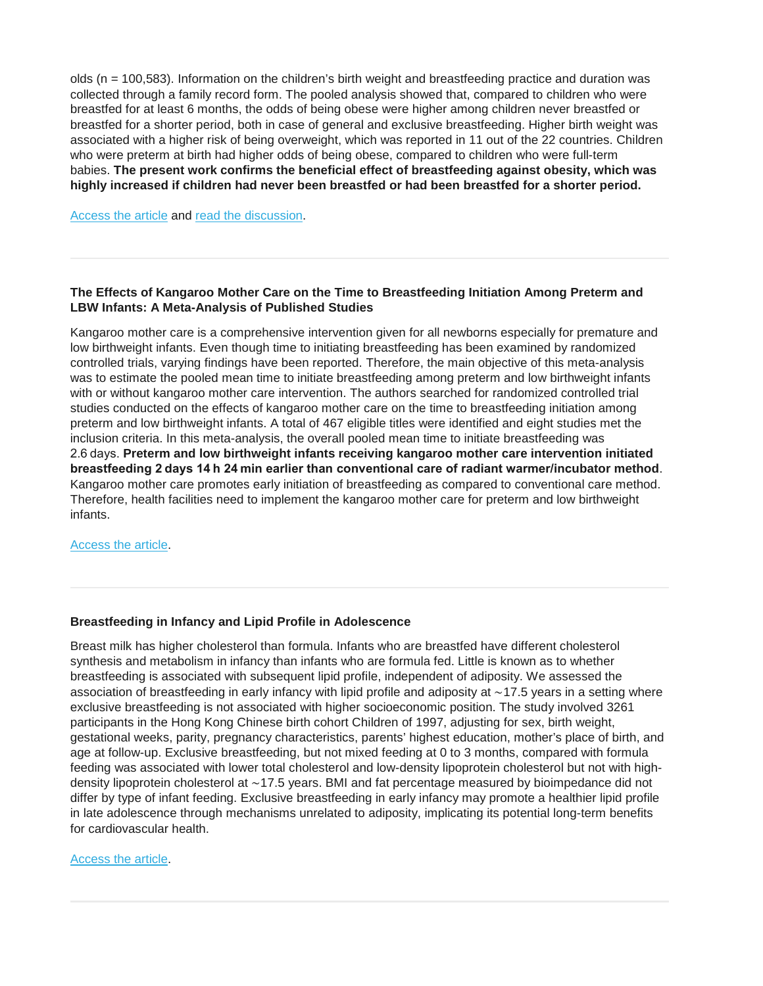olds (n = 100,583). Information on the children's birth weight and breastfeeding practice and duration was collected through a family record form. The pooled analysis showed that, compared to children who were breastfed for at least 6 months, the odds of being obese were higher among children never breastfed or breastfed for a shorter period, both in case of general and exclusive breastfeeding. Higher birth weight was associated with a higher risk of being overweight, which was reported in 11 out of the 22 countries. Children who were preterm at birth had higher odds of being obese, compared to children who were full-term babies. **The present work confirms the beneficial effect of breastfeeding against obesity, which was highly increased if children had never been breastfed or had been breastfed for a shorter period.**

[Access the article](https://www.karger.com/Article/FullText/500425) and [read the discussion.](https://www.unicef.org.uk/babyfriendly/breastfeeding-reduces-child-obesity-risk-by-up-to-25-per-cent/?utm_source=Unicef+UK&utm_medium=Email&utm_campaign=bfi_may19researchandnews_uukloyalty)

#### **The Effects of Kangaroo Mother Care on the Time to Breastfeeding Initiation Among Preterm and LBW Infants: A Meta-Analysis of Published Studies**

Kangaroo mother care is a comprehensive intervention given for all newborns especially for premature and low birthweight infants. Even though time to initiating breastfeeding has been examined by randomized controlled trials, varying findings have been reported. Therefore, the main objective of this meta-analysis was to estimate the pooled mean time to initiate breastfeeding among preterm and low birthweight infants with or without kangaroo mother care intervention. The authors searched for randomized controlled trial studies conducted on the effects of kangaroo mother care on the time to breastfeeding initiation among preterm and low birthweight infants. A total of 467 eligible titles were identified and eight studies met the inclusion criteria. In this meta-analysis, the overall pooled mean time to initiate breastfeeding was 2.6 days. **Preterm and low birthweight infants receiving kangaroo mother care intervention initiated breastfeeding 2 days 14 h 24 min earlier than conventional care of radiant warmer/incubator method**. Kangaroo mother care promotes early initiation of breastfeeding as compared to conventional care method. Therefore, health facilities need to implement the kangaroo mother care for preterm and low birthweight infants.

[Access the article.](https://internationalbreastfeedingjournal.biomedcentral.com/articles/10.1186/s13006-019-0206-0)

#### **Breastfeeding in Infancy and Lipid Profile in Adolescence**

Breast milk has higher cholesterol than formula. Infants who are breastfed have different cholesterol synthesis and metabolism in infancy than infants who are formula fed. Little is known as to whether breastfeeding is associated with subsequent lipid profile, independent of adiposity. We assessed the association of breastfeeding in early infancy with lipid profile and adiposity at ∼17.5 years in a setting where exclusive breastfeeding is not associated with higher socioeconomic position. The study involved 3261 participants in the Hong Kong Chinese birth cohort Children of 1997, adjusting for sex, birth weight, gestational weeks, parity, pregnancy characteristics, parents' highest education, mother's place of birth, and age at follow-up. Exclusive breastfeeding, but not mixed feeding at 0 to 3 months, compared with formula feeding was associated with lower total cholesterol and low-density lipoprotein cholesterol but not with highdensity lipoprotein cholesterol at ∼17.5 years. BMI and fat percentage measured by bioimpedance did not differ by type of infant feeding. Exclusive breastfeeding in early infancy may promote a healthier lipid profile in late adolescence through mechanisms unrelated to adiposity, implicating its potential long-term benefits for cardiovascular health.

[Access the article.](https://pediatrics.aappublications.org/content/early/2019/04/07/peds.2018-3075?sso=1&sso_redirect_count=1&nfstatus=401&nftoken=00000000-0000-0000-0000-000000000000&nfstatusdescription=ERROR%3a+No+local+token)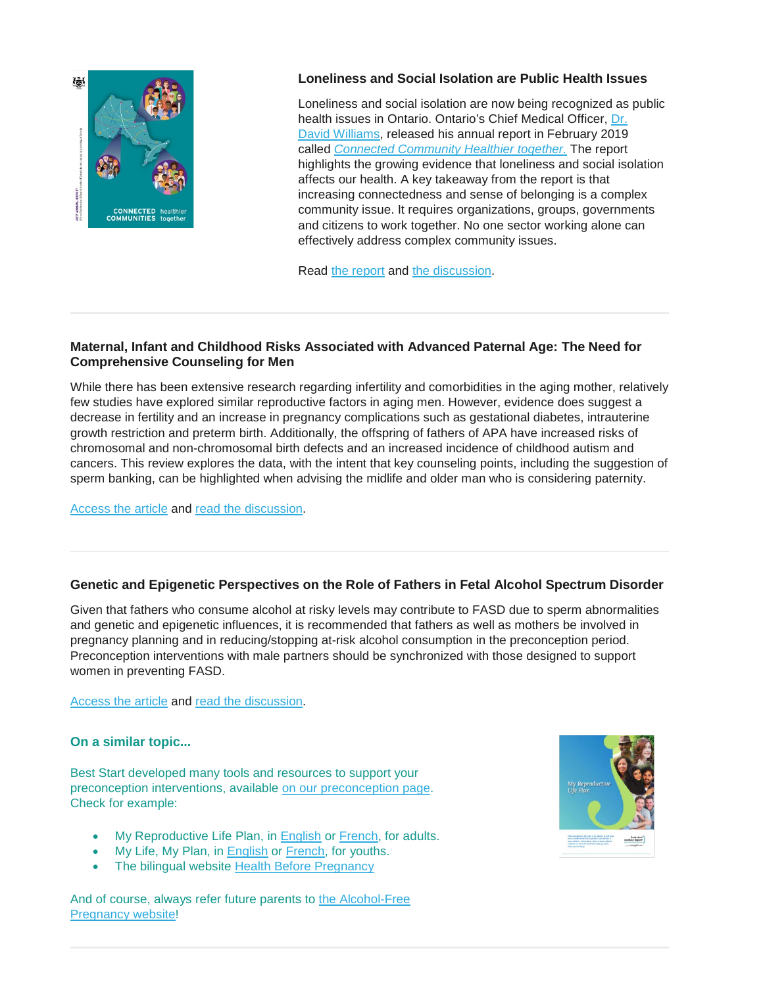

# **Loneliness and Social Isolation are Public Health Issues**

Loneliness and social isolation are now being recognized as public health issues in Ontario. Ontario's Chief Medical Officer, [Dr.](http://www.health.gov.on.ca/en/common/ministry/cmoh.aspx)  David [Williams,](http://www.health.gov.on.ca/en/common/ministry/cmoh.aspx) released his annual report in February 2019 called *[Connected Community Healthier together.](http://www.health.gov.on.ca/en/common/ministry/publications/reports/cmoh_19/default.aspx)* The report highlights the growing evidence that loneliness and social isolation affects our health. A key takeaway from the report is that increasing connectedness and sense of belonging is a complex community issue. It requires organizations, groups, governments and citizens to work together. No one sector working alone can effectively address complex community issues.

Read [the report](http://www.health.gov.on.ca/en/common/ministry/publications/reports/cmoh_19/default.aspx) and [the discussion.](http://www.tamarackcommunity.ca/engage-april?utm_campaign=Engage%21&utm_source=hs_email&utm_medium=email&utm_content=71454661&_hsenc=p2ANqtz--gU2mnppmAJjJ35HkvZkY7mxSsudHWWRQ3ghWUllnsHpnvmwGLnCJE0XZsWLxGzP190MAf1sFOq7mEC7uzCFjgsoW0QY2T0iH3cetpdE4zYD7mcf0&_hsmi=71454661#Loneliness)

# **Maternal, Infant and Childhood Risks Associated with Advanced Paternal Age: The Need for Comprehensive Counseling for Men**

While there has been extensive research regarding infertility and comorbidities in the aging mother, relatively few studies have explored similar reproductive factors in aging men. However, evidence does suggest a decrease in fertility and an increase in pregnancy complications such as gestational diabetes, intrauterine growth restriction and preterm birth. Additionally, the offspring of fathers of APA have increased risks of chromosomal and non-chromosomal birth defects and an increased incidence of childhood autism and cancers. This review explores the data, with the intent that key counseling points, including the suggestion of sperm banking, can be highlighted when advising the midlife and older man who is considering paternity.

[Access the article](https://www.maturitas.org/article/S0378-5122(19)30134-3/abstract) and [read the discussion.](https://www.business-standard.com/article/pti-stories/men-s-ticking-biological-clock-may-put-partner-kids-at-health-risk-study-119051200490_1.html)

# **Genetic and Epigenetic Perspectives on the Role of Fathers in Fetal Alcohol Spectrum Disorder**

Given that fathers who consume alcohol at risky levels may contribute to FASD due to sperm abnormalities and genetic and epigenetic influences, it is recommended that fathers as well as mothers be involved in pregnancy planning and in reducing/stopping at-risk alcohol consumption in the preconception period. Preconception interventions with male partners should be synchronized with those designed to support women in preventing FASD.

[Access the article](https://canfasd.ca/wp-content/uploads/sites/35/2019/03/Fathers-Role-1-Issue-Paper-Final.pdf) and [read the discussion.](https://canfasdblog.com/2019/04/03/genetic-and-epigenetic-perspectives-on-the-role-of-fathers-in-fetal-alcohol-spectrum-disorder/)

# **On a similar topic...**

Best Start developed many tools and resources to support your preconception interventions, available [on our preconception page.](https://resources.beststart.org/product-category/resources/preconception-health/) Check for example:

- My Reproductive Life Plan, in [English](https://resources.beststart.org/product/f18e-my-reproductive-life-plan-booklet/) or [French,](https://resources.beststart.org/product/f18f-plan-de-vie-conception-livret-en/) for adults.
- My Life, My Plan, in [English](https://resources.beststart.org/product/f13e-my-life-my-plan-booklet/) or [French,](https://resources.beststart.org/product/f13f-ma-vie-mon-plan-livret-en/) for youths.
- The bilingual website [Health Before Pregnancy](https://resources.beststart.org/product/f12b-health-before-pregnancy-website/)

And of course, always refer future parents to [the Alcohol-Free](https://resources.beststart.org/product/a31b-alcohol-free-pregnancy-website/)  [Pregnancy website!](https://resources.beststart.org/product/a31b-alcohol-free-pregnancy-website/)

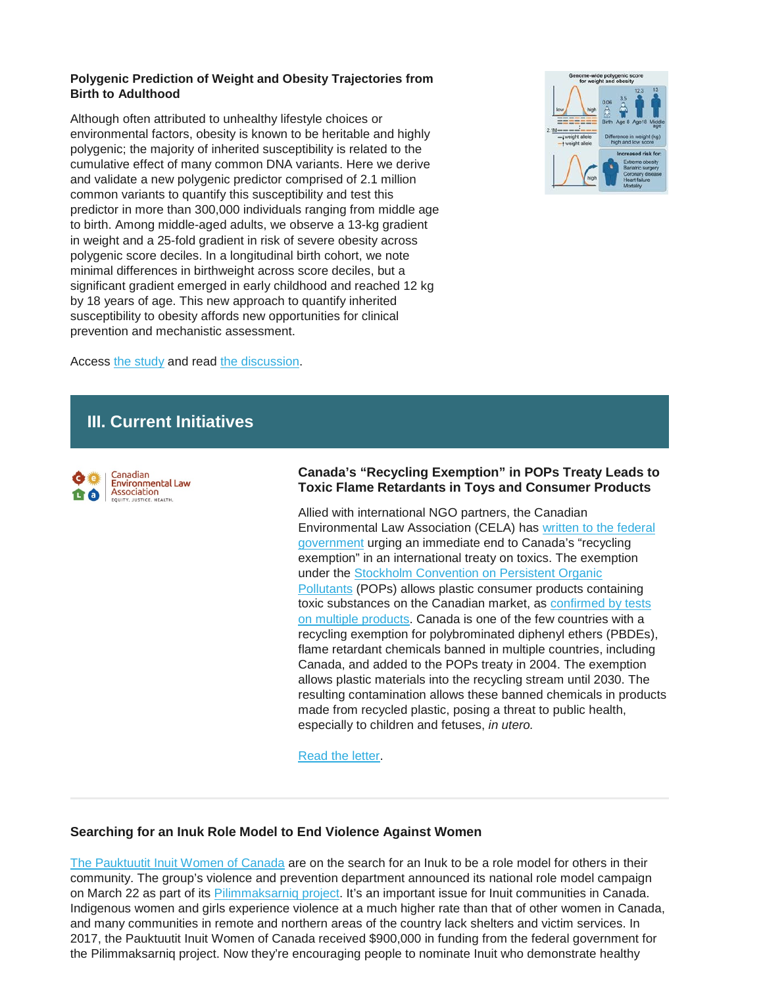#### **Polygenic Prediction of Weight and Obesity Trajectories from Birth to Adulthood**

Although often attributed to unhealthy lifestyle choices or environmental factors, obesity is known to be heritable and highly polygenic; the majority of inherited susceptibility is related to the cumulative effect of many common DNA variants. Here we derive and validate a new polygenic predictor comprised of 2.1 million common variants to quantify this susceptibility and test this predictor in more than 300,000 individuals ranging from middle age to birth. Among middle-aged adults, we observe a 13-kg gradient in weight and a 25-fold gradient in risk of severe obesity across polygenic score deciles. In a longitudinal birth cohort, we note minimal differences in birthweight across score deciles, but a significant gradient emerged in early childhood and reached 12 kg by 18 years of age. This new approach to quantify inherited susceptibility to obesity affords new opportunities for clinical prevention and mechanistic assessment.



Access [the study](https://www.cell.com/cell/fulltext/S0092-8674(19)30290-9) and read [the discussion.](https://www.scientificamerican.com/article/a-genetic-risk-score-tries-to-predict-whether-a-child-will-become-obese/)

# **III. Current Initiatives**



#### **Canada's "Recycling Exemption" in POPs Treaty Leads to Toxic Flame Retardants in Toys and Consumer Products**

Allied with international NGO partners, the Canadian Environmental Law Association (CELA) has [written to the federal](https://cela.us5.list-manage.com/track/click?u=061b2906efcd710becc433e36&id=bcaaf65901&e=6af087ad84)  [government](https://cela.us5.list-manage.com/track/click?u=061b2906efcd710becc433e36&id=bcaaf65901&e=6af087ad84) urging an immediate end to Canada's "recycling exemption" in an international treaty on toxics. The exemption under the [Stockholm Convention on Persistent Organic](https://cela.us5.list-manage.com/track/click?u=061b2906efcd710becc433e36&id=81edee022c&e=6af087ad84)  [Pollutants](https://cela.us5.list-manage.com/track/click?u=061b2906efcd710becc433e36&id=81edee022c&e=6af087ad84) (POPs) allows plastic consumer products containing toxic substances on the Canadian market, as [confirmed by tests](https://cela.us5.list-manage.com/track/click?u=061b2906efcd710becc433e36&id=dd307ebb70&e=6af087ad84)  [on multiple products.](https://cela.us5.list-manage.com/track/click?u=061b2906efcd710becc433e36&id=dd307ebb70&e=6af087ad84) Canada is one of the few countries with a recycling exemption for polybrominated diphenyl ethers (PBDEs), flame retardant chemicals banned in multiple countries, including Canada, and added to the POPs treaty in 2004. The exemption allows plastic materials into the recycling stream until 2030. The resulting contamination allows these banned chemicals in products made from recycled plastic, posing a threat to public health, especially to children and fetuses, *in utero.*

[Read the letter.](https://cela.us5.list-manage.com/track/click?u=061b2906efcd710becc433e36&id=bcaaf65901&e=6af087ad84)

# **Searching for an Inuk Role Model to End Violence Against Women**

[The Pauktuutit Inuit Women of Canada](https://www.pauktuutit.ca/) are on the search for an Inuk to be a role model for others in their community. The group's violence and prevention department announced its national role model campaign on March 22 as part of its [Pilimmaksarniq project.](https://www.pauktuutit.ca/project/pilimmaksarniq-engaging-men-boys-reducing-violence-women-girls/) It's an important issue for Inuit communities in Canada. Indigenous women and girls experience violence at a much higher rate than that of other women in Canada, and many communities in remote and northern areas of the country lack shelters and victim services. In 2017, the Pauktuutit Inuit Women of Canada received \$900,000 in funding from the federal government for the Pilimmaksarniq project. Now they're encouraging people to nominate Inuit who demonstrate healthy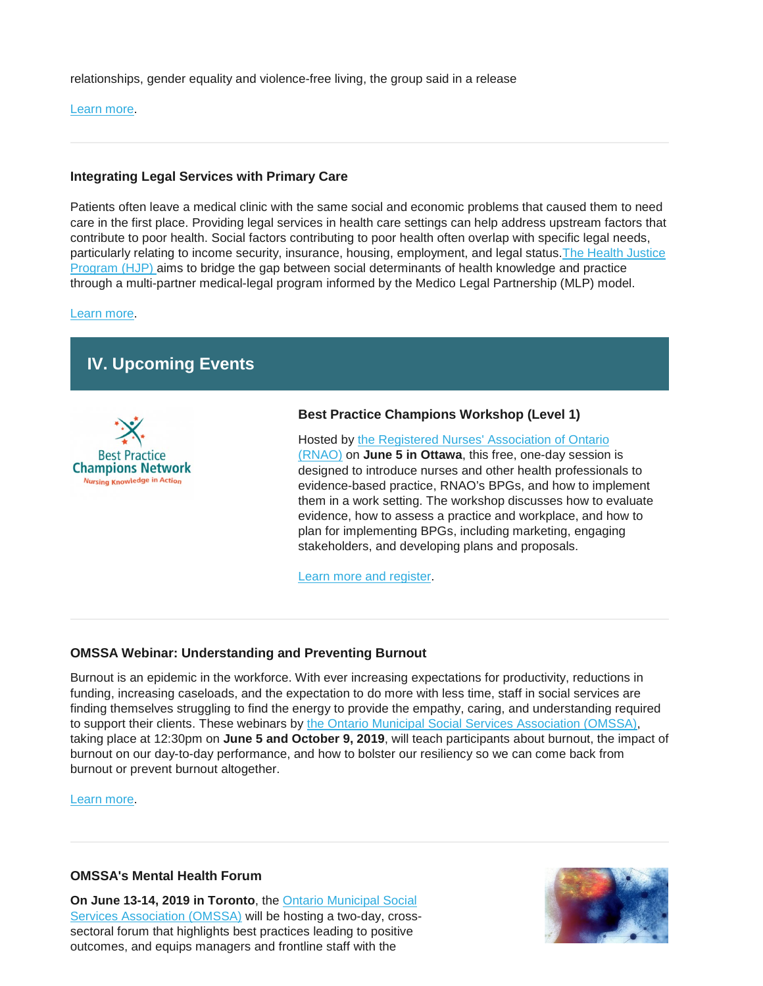relationships, gender equality and violence-free living, the group said in a release

[Learn more.](http://www.rcinet.ca/eye-on-the-arctic/2019/04/08/inuit-inuk-women-pauktuutit-canada-rolel-model/)

# **Integrating Legal Services with Primary Care**

Patients often leave a medical clinic with the same social and economic problems that caused them to need care in the first place. Providing legal services in health care settings can help address upstream factors that contribute to poor health. Social factors contributing to poor health often overlap with specific legal needs, particularly relating to income security, insurance, housing, employment, and legal status[.The Health Justice](http://www.stmichaelshospital.com/programs/familypractice/health-justice-program.php)  [Program \(HJP\)](http://www.stmichaelshospital.com/programs/familypractice/health-justice-program.php) aims to bridge the gap between social determinants of health knowledge and practice through a multi-partner medical-legal program informed by the Medico Legal Partnership (MLP) model.

[Learn more.](http://www.cfp.ca/content/65/4/246)

# **IV. Upcoming Events**



# **Best Practice Champions Workshop (Level 1)**

Hosted by [the Registered Nurses' Association of Ontario](https://rnao.ca/)  [\(RNAO\)](https://rnao.ca/) on **June 5 in Ottawa**, this free, one-day session is designed to introduce nurses and other health professionals to evidence-based practice, RNAO's BPGs, and how to implement them in a work setting. The workshop discusses how to evaluate evidence, how to assess a practice and workplace, and how to plan for implementing BPGs, including marketing, engaging stakeholders, and developing plans and proposals.

[Learn more and register.](https://rnao.ca/events/best-practice-champions-workshop-level-1-ottawa-3)

# **OMSSA Webinar: Understanding and Preventing Burnout**

Burnout is an epidemic in the workforce. With ever increasing expectations for productivity, reductions in funding, increasing caseloads, and the expectation to do more with less time, staff in social services are finding themselves struggling to find the energy to provide the empathy, caring, and understanding required to support their clients. These webinars by [the Ontario Municipal Social Services Association \(OMSSA\),](https://www.omssa.com/) taking place at 12:30pm on **June 5 and October 9, 2019**, will teach participants about burnout, the impact of burnout on our day-to-day performance, and how to bolster our resiliency so we can come back from burnout or prevent burnout altogether.

[Learn more.](https://omssa.com/webinar-preventing-burnout.php)

# **OMSSA's Mental Health Forum**

**On June 13-14, 2019 in Toronto**, the [Ontario Municipal Social](https://omssa.com/)  [Services Association \(OMSSA\)](https://omssa.com/) will be hosting a two-day, crosssectoral forum that highlights best practices leading to positive outcomes, and equips managers and frontline staff with the

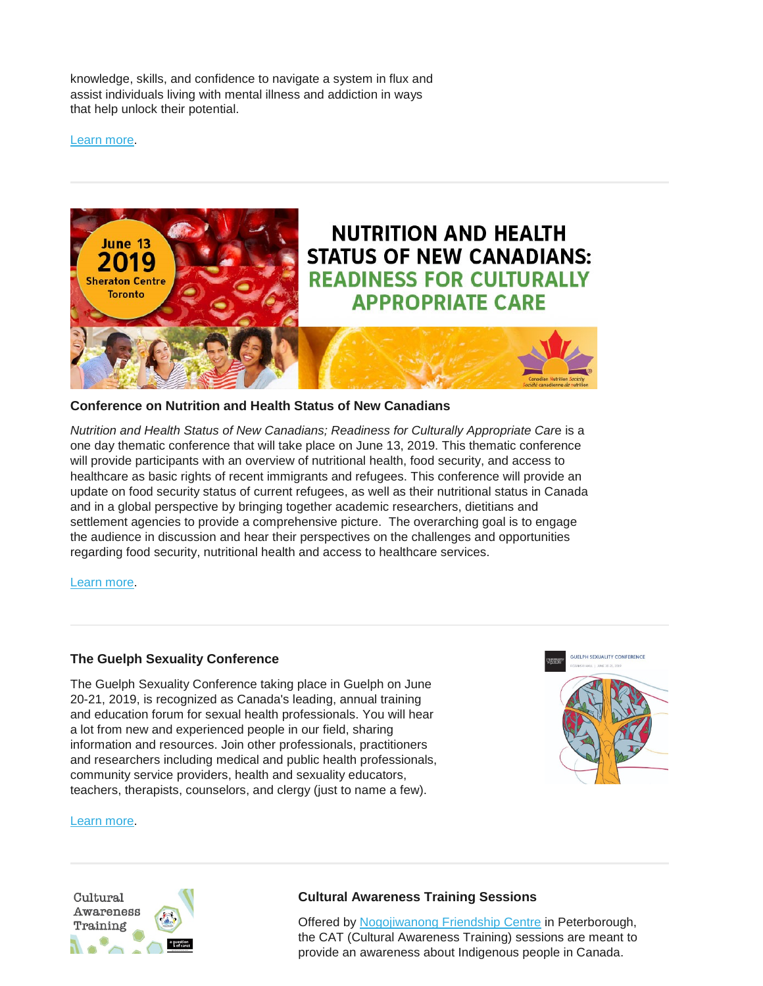knowledge, skills, and confidence to navigate a system in flux and assist individuals living with mental illness and addiction in ways that help unlock their potential.

[Learn more.](https://omssa.com/mental-health-forum.php)



#### **Conference on Nutrition and Health Status of New Canadians**

*Nutrition and Health Status of New Canadians; Readiness for Culturally Appropriate Car*e is a one day thematic conference that will take place on June 13, 2019. This thematic conference will provide participants with an overview of nutritional health, food security, and access to healthcare as basic rights of recent immigrants and refugees. This conference will provide an update on food security status of current refugees, as well as their nutritional status in Canada and in a global perspective by bringing together academic researchers, dietitians and settlement agencies to provide a comprehensive picture. The overarching goal is to engage the audience in discussion and hear their perspectives on the challenges and opportunities regarding food security, nutritional health and access to healthcare services.

[Learn more.](https://www.cns-scn.ca/events-activities/thematic-jun-13-2019/overview)

#### **The Guelph Sexuality Conference**

The Guelph Sexuality Conference taking place in Guelph on June 20-21, 2019, is recognized as Canada's leading, annual training and education forum for sexual health professionals. You will hear a lot from new and experienced people in our field, sharing information and resources. Join other professionals, practitioners and researchers including medical and public health professionals, community service providers, health and sexuality educators, teachers, therapists, counselors, and clergy (just to name a few).



#### [Learn more.](http://www.guelphsexualityconference.ca/)



# **Cultural Awareness Training Sessions**

Offered by [Nogojiwanong Friendship Centre](https://www.nogofc.ca/) in Peterborough, the CAT (Cultural Awareness Training) sessions are meant to provide an awareness about Indigenous people in Canada.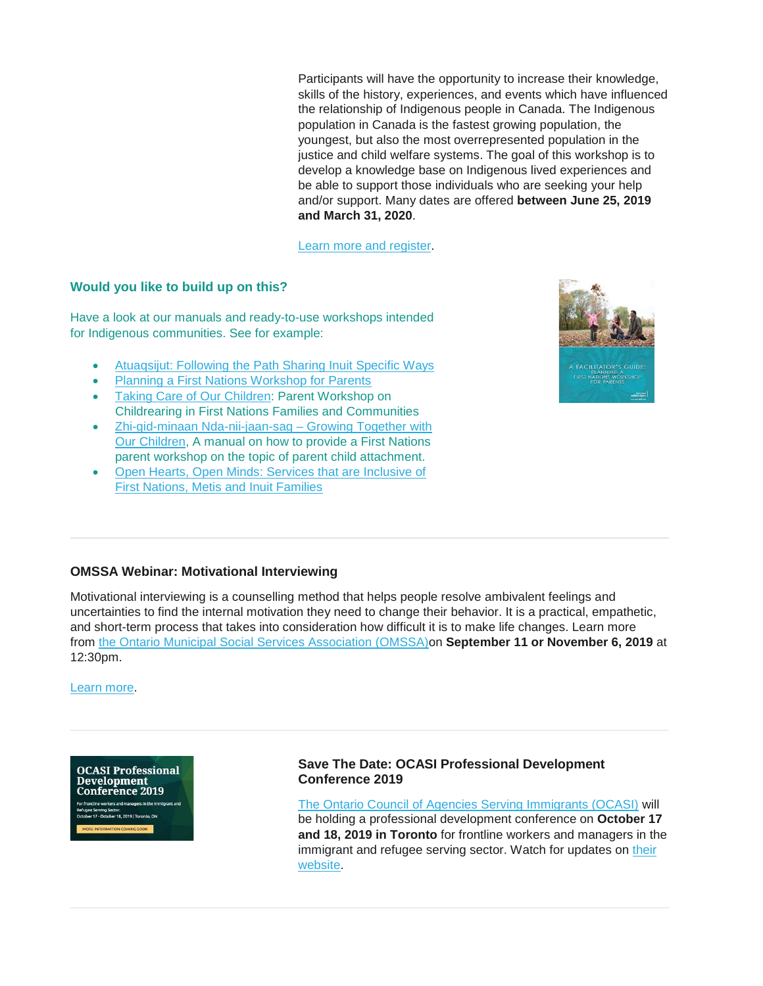Participants will have the opportunity to increase their knowledge, skills of the history, experiences, and events which have influenced the relationship of Indigenous people in Canada. The Indigenous population in Canada is the fastest growing population, the youngest, but also the most overrepresented population in the justice and child welfare systems. The goal of this workshop is to develop a knowledge base on Indigenous lived experiences and be able to support those individuals who are seeking your help and/or support. Many dates are offered **between June 25, 2019 and March 31, 2020**.

[Learn more and register.](https://www.eventbrite.ca/e/cultural-awareness-training-tickets-59948914818)

# **Would you like to build up on this?**

Have a look at our manuals and ready-to-use workshops intended for Indigenous communities. See for example:

- [Atuaqsijut: Following the Path Sharing Inuit Specific Ways](https://resources.beststart.org/product/k84a-atuaqsijut-inuit-manual/)
- [Planning a First Nations Workshop for Parents](https://resources.beststart.org/product/k66a-planning-a-first-nations-workshop-for-parents-guide/)
- [Taking Care of Our Children:](https://resources.beststart.org/product/k67a-taking-care-of-our-children-childrearing-first-nations-workshop/) Parent Workshop on Childrearing in First Nations Families and Communities
- [Zhi-gid-minaan Nda-nii-jaan-sag –](https://resources.beststart.org/product/k47a-growing-together-with-our-children-guide/) Growing Together with [Our Children,](https://resources.beststart.org/product/k47a-growing-together-with-our-children-guide/) A manual on how to provide a First Nations parent workshop on the topic of parent child attachment.
- [Open Hearts, Open Minds: Services that are Inclusive of](https://resources.beststart.org/product/j15e-services-inclusive-first-nations-metis-inuit-families-report/)  [First Nations, Metis and Inuit Families](https://resources.beststart.org/product/j15e-services-inclusive-first-nations-metis-inuit-families-report/)



# **OMSSA Webinar: Motivational Interviewing**

Motivational interviewing is a counselling method that helps people resolve ambivalent feelings and uncertainties to find the internal motivation they need to change their behavior. It is a practical, empathetic, and short-term process that takes into consideration how difficult it is to make life changes. Learn more from [the Ontario Municipal Social Services Association \(OMSSA\)o](https://www.omssa.com/)n **September 11 or November 6, 2019** at 12:30pm.

[Learn more.](https://omssa.com/webinar-motivational-interviewing.php)

**OCASI Professional** Development **Conference 2019 3, 2019 | Toronto, ON** 

**Save The Date: OCASI Professional Development Conference 2019**

[The Ontario Council of Agencies Serving Immigrants \(OCASI\)](https://ocasi.org/) will be holding a professional development conference on **October 17 and 18, 2019 in Toronto** for frontline workers and managers in the immigrant and refugee serving sector. Watch for updates on their [website.](https://ocasi.org/)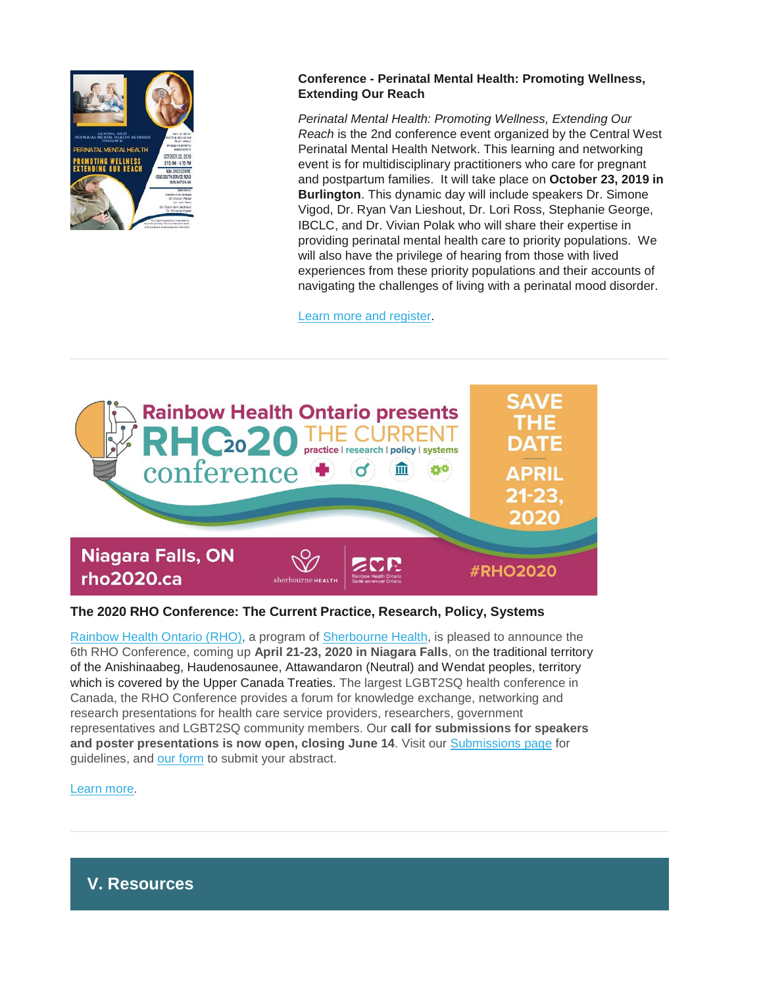

# **Conference - Perinatal Mental Health: Promoting Wellness, Extending Our Reach**

*Perinatal Mental Health: Promoting Wellness, Extending Our Reach* is the 2nd conference event organized by the Central West Perinatal Mental Health Network. This learning and networking event is for multidisciplinary practitioners who care for pregnant and postpartum families. It will take place on **October 23, 2019 in Burlington**. This dynamic day will include speakers Dr. Simone Vigod, Dr. Ryan Van Lieshout, Dr. Lori Ross, Stephanie George, IBCLC, and Dr. Vivian Polak who will share their expertise in providing perinatal mental health care to priority populations. We will also have the privilege of hearing from those with lived experiences from these priority populations and their accounts of navigating the challenges of living with a perinatal mood disorder.

[Learn more and register.](https://www.eventbrite.ca/e/perinatal-mental-health-promoting-wellness-extending-our-reach-tickets-59076721063?aff=aff0eventful)



# **The 2020 RHO Conference: The Current Practice, Research, Policy, Systems**

[Rainbow Health Ontario \(RHO\),](https://www.rainbowhealthontario.ca/) a program of [Sherbourne Health,](https://sherbourne.on.ca/) is pleased to announce the 6th RHO Conference, coming up **April 21-23, 2020 in Niagara Falls**, on the traditional territory of the Anishinaabeg, Haudenosaunee, Attawandaron (Neutral) and Wendat peoples, territory which is covered by the Upper Canada Treaties. The largest LGBT2SQ health conference in Canada, the RHO Conference provides a forum for knowledge exchange, networking and research presentations for health care service providers, researchers, government representatives and LGBT2SQ community members. Our **call for submissions for speakers and poster presentations is now open, closing June 14**. Visit our [Submissions page](https://www.rho2020.ca/call-for-submissions--appel-de-propositions.html) for guidelines, and [our form](https://events.eply.com/rho2020SpeakersConferenciers) to submit your abstract.

[Learn more.](https://www.rho2020.ca/)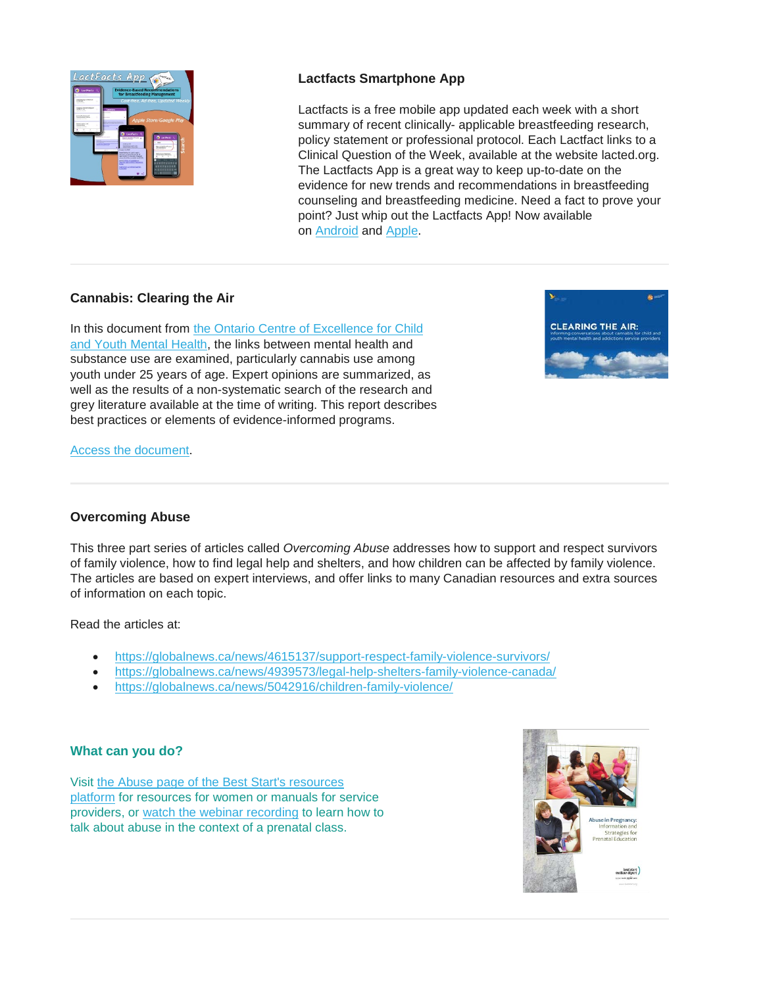

# **Lactfacts Smartphone App**

Lactfacts is a free mobile app updated each week with a short summary of recent clinically- applicable breastfeeding research, policy statement or professional protocol. Each Lactfact links to a Clinical Question of the Week, available at the website lacted.org. The Lactfacts App is a great way to keep up-to-date on the evidence for new trends and recommendations in breastfeeding counseling and breastfeeding medicine. Need a fact to prove your point? Just whip out the Lactfacts App! Now available on [Android](http://url3448.lacted.org/wf/click?upn=bmPKuQwvx4hcxZOjA2RXh0DsjnmkIDk0sJAS0bz9ruV1ZgSRwgBM2FXF934l1hO6zYMNxfBnVaBEX4V5YMTsYXfqHBKZispyYHpNaYpiTC5W0w9yFWtrQnMqCYz4WkKaI3h8oA1Hr7Dx3jVNumluvztfCdI5ueI-2F-2BF7Wr4LOgkVSaDnbpfml5U1v-2FCJigZGr_2GKfudiLRpA1ODuqhsxr3UQ6phwNDtq5u2Ut1EVTExJQiv1reIa7jQ-2FhgrZrftDaQTHisDAbVOQjR6-2FKv-2B0E98Do4wEzCx9jhkF9Q9Eo-2FIeVeWAlg-2FD-2BjbkUo-2Bx9YuojXyhYI-2FAnjwl-2BgM7Dpkkyro8R2gPe5SnkoA4Wb-2B-2FHjte6txpAPaf4RyEpRCsEY4wbrRwI1oihnnIYJbKCIM7uWvv0qRbfvHlDmbqR9HlBqfV3cvGl5tVQ9AnKaiyCzr-2BM) and [Apple.](http://url3448.lacted.org/wf/click?upn=bmPKuQwvx4hcxZOjA2RXh0DsjnmkIDk0sJAS0bz9ruV1ZgSRwgBM2FXF934l1hO6zYMNxfBnVaBEX4V5YMTsYXfqHBKZispyYHpNaYpiTC5W0w9yFWtrQnMqCYz4WkKaUVwyS2pDqnSMQcO6HT3pWyOYL75dHc2hO7zJBuhVhHcmWlQOA-2BAhSa46vFUCOrY2_2GKfudiLRpA1ODuqhsxr3UQ6phwNDtq5u2Ut1EVTExJQiv1reIa7jQ-2FhgrZrftDaQTHisDAbVOQjR6-2FKv-2B0E96-2Fm3HofF8uZVgvjVJB7G4Vt7G-2B3dUGHveuqa2KplVvtY0LsBSwuBoXHI4OVh5H0sBxRyXz5qCVlNjw7-2FuX7AQsYVNqmn-2FEfPZJsGtKJNyOt-2F1WxH9NjBD7bJqBHbUBWmvH9kOq1OQnvCdPY7QitSHbSmwWHVRiI6nxdbneOSOBO)

# **Cannabis: Clearing the Air**

In this document from [the Ontario Centre of Excellence for Child](http://www.excellenceforchildandyouth.ca/)  [and Youth Mental Health,](http://www.excellenceforchildandyouth.ca/) the links between mental health and substance use are examined, particularly cannabis use among youth under 25 years of age. Expert opinions are summarized, as well as the results of a non-systematic search of the research and grey literature available at the time of writing. This report describes best practices or elements of evidence-informed programs.



#### [Access the document.](http://www.excellenceforchildandyouth.ca/resource-hub/clearing-air-informing-conversations-about-cannabis-child-and-youth-mental-health-and)

# **Overcoming Abuse**

This three part series of articles called *Overcoming Abuse* addresses how to support and respect survivors of family violence, how to find legal help and shelters, and how children can be affected by family violence. The articles are based on expert interviews, and offer links to many Canadian resources and extra sources of information on each topic.

Read the articles at:

- <https://globalnews.ca/news/4615137/support-respect-family-violence-survivors/>
- <https://globalnews.ca/news/4939573/legal-help-shelters-family-violence-canada/>
- <https://globalnews.ca/news/5042916/children-family-violence/>

# **What can you do?**

Visit the Abuse [page of the Best Start's resources](https://resources.beststart.org/product-category/resources/abuse/)  [platform](https://resources.beststart.org/product-category/resources/abuse/) for resources for women or manuals for service providers, or [watch the webinar recording](http://en.beststart.org/page/webinar-how-talk-about-abuse-prenatal-education-classes-using-prenatal-education-messages) to learn how to talk about abuse in the context of a prenatal class.

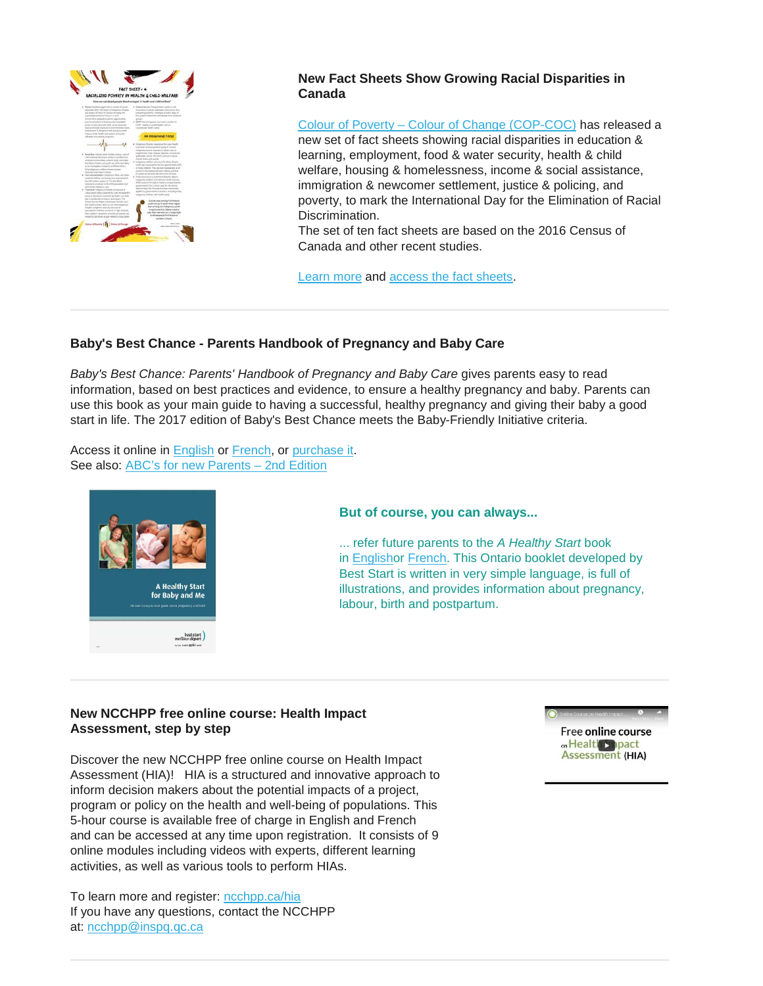

# **New Fact Sheets Show Growing Racial Disparities in Canada**

Colour of Poverty – [Colour of Change \(COP-COC\)](https://colourofpoverty.wordpress.com/about-the-colour-of-poverty/) has released a new set of fact sheets showing racial disparities in education & learning, employment, food & water security, health & child welfare, housing & homelessness, income & social assistance, immigration & newcomer settlement, justice & policing, and poverty, to mark the International Day for the Elimination of Racial Discrimination.

The set of ten fact sheets are based on the 2016 Census of Canada and other recent studies.

[Learn more](https://ocasi.org/new-fact-sheets-show-growing-racial-disparities-canada?utm_source=OCASI+In+the+Field+Newsletter&utm_campaign=1d8b3e4594-newsletter-oitf-81&utm_medium=email&utm_term=0_fc98b62821-1d8b3e4594-1208784857) and [access the fact sheets.](https://colourofpoverty.ca/fact-sheets/)

# **Baby's Best Chance - Parents Handbook of Pregnancy and Baby Care**

*Baby's Best Chance: Parents' Handbook of Pregnancy and Baby Care* gives parents easy to read information, based on best practices and evidence, to ensure a healthy pregnancy and baby. Parents can use this book as your main guide to having a successful, healthy pregnancy and giving their baby a good start in life. The 2017 edition of Baby's Best Chance meets the Baby-Friendly Initiative criteria.

Access it online in [English](http://www.health.gov.bc.ca/library/publications/year/2017/BabysBestChance-Sept2017.pdf) or [French,](http://www.health.gov.bc.ca/library/publications/year/2013/babys-best-chance-french.pdf) or [purchase it.](https://www.crownpub.bc.ca/Product/Details/7610003495_S) See also: ABC's for new Parents - 2nd Edition



#### **But of course, you can always...**

... refer future parents to the *A Healthy Start* book in [Englisho](https://resources.beststart.org/product/e28e-healthy-start-baby-and-me-book/)r [French.](https://resources.beststart.org/product/e28f-depart-sante-pour-bebe-et-moi-livre-en/) This Ontario booklet developed by Best Start is written in very simple language, is full of illustrations, and provides information about pregnancy, labour, birth and postpartum.

# **New NCCHPP free online course: Health Impact Assessment, step by step**

Discover the new NCCHPP free online course on Health Impact Assessment (HIA)! HIA is a structured and innovative approach to inform decision makers about the potential impacts of a project, program or policy on the health and well-being of populations. This 5-hour course is available free of charge in English and French and can be accessed at any time upon registration. It consists of 9 online modules including videos with experts, different learning activities, as well as various tools to perform HIAs.

To learn more and register: [ncchpp.ca/hia](https://utoronto.us19.list-manage.com/track/click?u=90989609f245ac5cf3326343a&id=8d62dc6413&e=361bf32a49) If you have any questions, contact the NCCHPP at: [ncchpp@inspq.qc.ca](mailto:ncchpp@inspq.qc.ca)

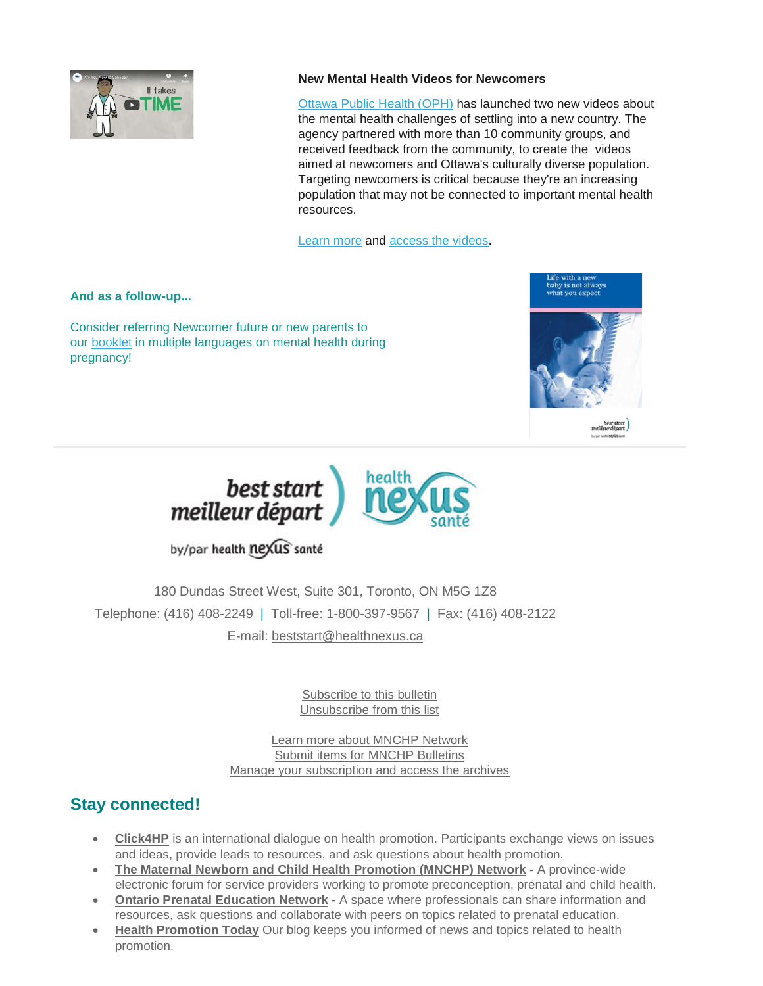

# **New Mental Health Videos for Newcomers**

[Ottawa Public Health \(OPH\)](http://www.ottawapublichealth.ca/en/index.aspx) has launched two new videos about the mental health challenges of settling into a new country. The agency partnered with more than 10 community groups, and received feedback from the community, to create the videos aimed at newcomers and Ottawa's culturally diverse population. Targeting newcomers is critical because they're an increasing population that may not be connected to important mental health resources.

[Learn more](https://www.cbc.ca/news/canada/ottawa/ottawa-public-health-launches-mental-health-video-for-newcomers-1.5064146) and [access the videos.](http://www.ottawapublichealth.ca/en/public-health-services/htt-everyone.aspx#Are-You-New-to-Canada---New--)

**And as a follow-up...**

Consider referring Newcomer future or new parents to our [booklet](https://resources.beststart.org/product/m03e-life-with-a-new-baby-brochure/) in multiple languages on mental health during pregnancy!





by/par health nexus santé

180 Dundas Street West, Suite 301, Toronto, ON M5G 1Z8 Telephone: (416) 408-2249 | Toll-free: 1-800-397-9567 | Fax: (416) 408-2122 E-mail: [beststart@healthnexus.ca](mailto:beststart@healthnexus.ca?subject=Contact%20Us)

> [Subscribe to this bulletin](mailto:mnchp@healthnexus.ca?subject=Unsubscribe%20to%20MNCHP%20bulletin%20and%20network) [Unsubscribe from this list](mailto:mnchp@healthnexus.ca?subject=Unsubscribe%20to%20MNCHP%20bulletin%20and%20network)

[Learn more about MNCHP Network](http://lists.beststart.org/listinfo.cgi/mnchp-beststart.org) [Submit items for MNCHP Bulletins](mailto:mnchp@healthnexus.ca) [Manage your subscription and access the archives](http://lists.beststart.org/listinfo.cgi/mnchp-beststart.org)

# **Stay connected!**

- **[Click4HP](https://listserv.yorku.ca/archives/click4hp.html)** is an international dialogue on health promotion. Participants exchange views on issues and ideas, provide leads to resources, and ask questions about health promotion.
- **[The Maternal Newborn and Child Health Promotion \(MNCHP\) Network](http://lists.beststart.org/listinfo.cgi/mnchp-beststart.org) -** A province-wide electronic forum for service providers working to promote preconception, prenatal and child health.
- **[Ontario Prenatal Education Network](http://fluidsurveys.com/surveys/ohpe/subscriptionsopen2015-2016/) -** A space where professionals can share information and resources, ask questions and collaborate with peers on topics related to prenatal education.
- **[Health Promotion Today](http://en.healthnexus.ca/)** Our blog keeps you informed of news and topics related to health promotion.